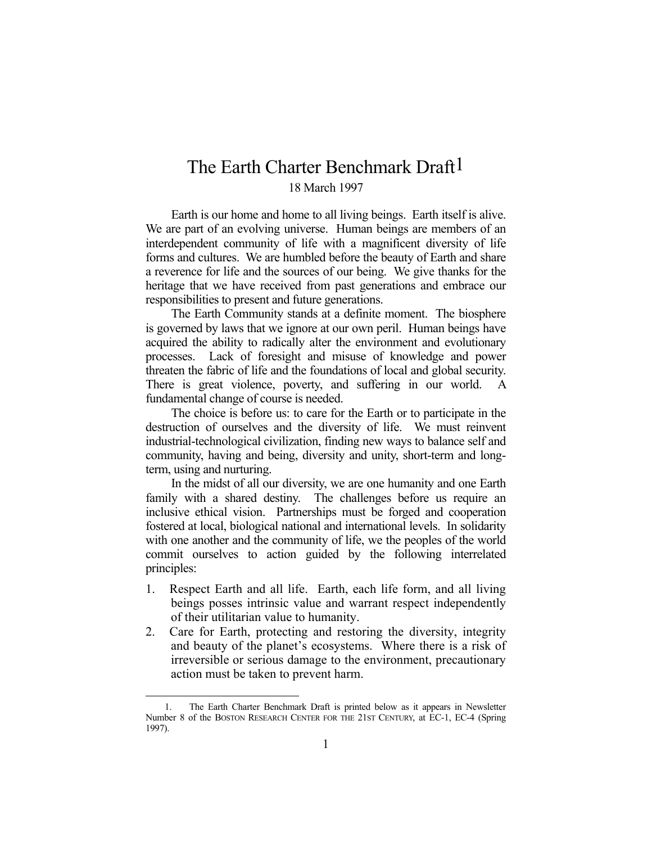## The Earth Charter Benchmark Draft<sup>1</sup> 18 March 1997

 Earth is our home and home to all living beings. Earth itself is alive. We are part of an evolving universe. Human beings are members of an interdependent community of life with a magnificent diversity of life forms and cultures. We are humbled before the beauty of Earth and share a reverence for life and the sources of our being. We give thanks for the heritage that we have received from past generations and embrace our responsibilities to present and future generations.

 The Earth Community stands at a definite moment. The biosphere is governed by laws that we ignore at our own peril. Human beings have acquired the ability to radically alter the environment and evolutionary processes. Lack of foresight and misuse of knowledge and power threaten the fabric of life and the foundations of local and global security. There is great violence, poverty, and suffering in our world. A fundamental change of course is needed.

 The choice is before us: to care for the Earth or to participate in the destruction of ourselves and the diversity of life. We must reinvent industrial-technological civilization, finding new ways to balance self and community, having and being, diversity and unity, short-term and longterm, using and nurturing.

 In the midst of all our diversity, we are one humanity and one Earth family with a shared destiny. The challenges before us require an inclusive ethical vision. Partnerships must be forged and cooperation fostered at local, biological national and international levels. In solidarity with one another and the community of life, we the peoples of the world commit ourselves to action guided by the following interrelated principles:

- 1. Respect Earth and all life. Earth, each life form, and all living beings posses intrinsic value and warrant respect independently of their utilitarian value to humanity.
- 2. Care for Earth, protecting and restoring the diversity, integrity and beauty of the planet's ecosystems. Where there is a risk of irreversible or serious damage to the environment, precautionary action must be taken to prevent harm.

1

 <sup>1.</sup> The Earth Charter Benchmark Draft is printed below as it appears in Newsletter Number 8 of the BOSTON RESEARCH CENTER FOR THE 21ST CENTURY, at EC-1, EC-4 (Spring 1997).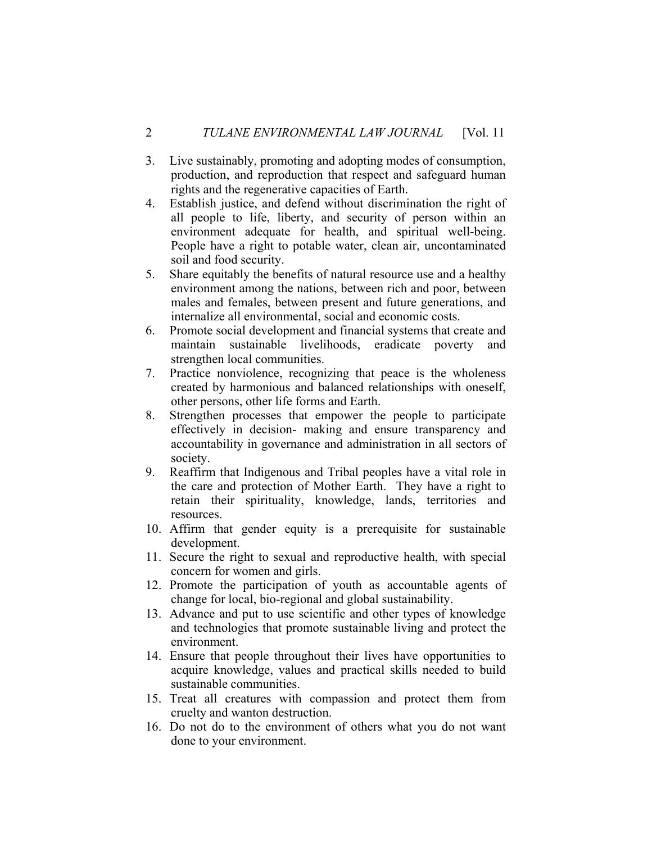- 3. Live sustainably, promoting and adopting modes of consumption, production, and reproduction that respect and safeguard human rights and the regenerative capacities of Earth.
- 4. Establish justice, and defend without discrimination the right of all people to life, liberty, and security of person within an environment adequate for health, and spiritual well-being. People have a right to potable water, clean air, uncontaminated soil and food security.
- 5. Share equitably the benefits of natural resource use and a healthy environment among the nations, between rich and poor, between males and females, between present and future generations, and internalize all environmental, social and economic costs.
- 6. Promote social development and financial systems that create and maintain sustainable livelihoods, eradicate poverty and strengthen local communities.
- 7. Practice nonviolence, recognizing that peace is the wholeness created by harmonious and balanced relationships with oneself, other persons, other life forms and Earth.
- 8. Strengthen processes that empower the people to participate effectively in decision- making and ensure transparency and accountability in governance and administration in all sectors of society.
- 9. Reaffirm that Indigenous and Tribal peoples have a vital role in the care and protection of Mother Earth. They have a right to retain their spirituality, knowledge, lands, territories and resources.
- 10. Affirm that gender equity is a prerequisite for sustainable development.
- 11. Secure the right to sexual and reproductive health, with special concern for women and girls.
- 12. Promote the participation of youth as accountable agents of change for local, bio-regional and global sustainability.
- 13. Advance and put to use scientific and other types of knowledge and technologies that promote sustainable living and protect the environment.
- 14. Ensure that people throughout their lives have opportunities to acquire knowledge, values and practical skills needed to build sustainable communities.
- 15. Treat all creatures with compassion and protect them from cruelty and wanton destruction.
- 16. Do not do to the environment of others what you do not want done to your environment.